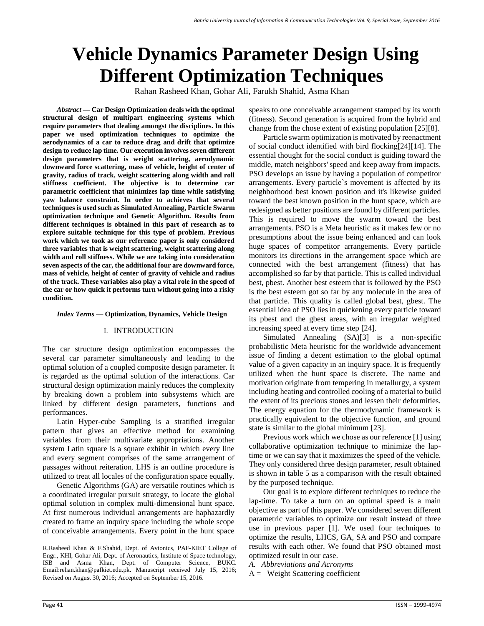# **Vehicle Dynamics Parameter Design Using Different Optimization Techniques**

Rahan Rasheed Khan, Gohar Ali, Farukh Shahid, Asma Khan

*Abstract* **— Car Design Optimization deals with the optimal structural design of multipart engineering systems which require parameters that dealing amongst the disciplines. In this paper we used optimization techniques to optimize the aerodynamics of a car to reduce drag and drift that optimize design to reduce lap time. Our execution involves seven different design parameters that is weight scattering, aerodynamic downward force scattering, mass of vehicle, height of center of gravity, radius of track, weight scattering along width and roll stiffness coefficient. The objective is to determine car parametric coefficient that minimizes lap time while satisfying yaw balance constraint. In order to achieves that several techniques is used such as Simulated Annealing, Particle Swarm optimization technique and Genetic Algorithm. Results from different techniques is obtained in this part of research as to explore suitable technique for this type of problem. Previous work which we took as our reference paper is only considered three variables that is weight scattering, weight scattering along width and roll stiffness. While we are taking into consideration seven aspects of the car, the additional four are downward force, mass of vehicle, height of center of gravity of vehicle and radius of the track. These variables also play a vital role in the speed of the car or how quick it performs turn without going into a risky condition.**

#### *Index Terms* **— Optimization, Dynamics, Vehicle Design**

# I. INTRODUCTION

The car structure design optimization encompasses the several car parameter simultaneously and leading to the optimal solution of a coupled composite design parameter. It is regarded as the optimal solution of the interactions. Car structural design optimization mainly reduces the complexity by breaking down a problem into subsystems which are linked by different design parameters, functions and performances.

Latin Hyper-cube Sampling is a stratified irregular pattern that gives an effective method for examining variables from their multivariate appropriations. Another system Latin square is a square exhibit in which every line and every segment comprises of the same arrangement of passages without reiteration. LHS is an outline procedure is utilized to treat all locales of the configuration space equally.

Genetic Algorithms (GA) are versatile routines which is a coordinated irregular pursuit strategy, to locate the global optimal solution in complex multi-dimensional hunt space. At first numerous individual arrangements are haphazardly created to frame an inquiry space including the whole scope of conceivable arrangements. Every point in the hunt space

R.Rasheed Khan & F.Shahid, Dept. of Avionics, PAF-KIET College of Engr., KHI, Gohar Ali, Dept. of Aeronautics, Institute of Space technology, ISB and Asma Khan, Dept. of Computer Science, BUKC. Email:rehan.khan@pafkiet.edu.pk. Manuscript received July 15, 2016; Revised on August 30, 2016; Accepted on September 15, 2016.

speaks to one conceivable arrangement stamped by its worth (fitness). Second generation is acquired from the hybrid and change from the chose extent of existing population [25][8].

Particle swarm optimization is motivated by reenactment of social conduct identified with bird flocking[24][14]. The essential thought for the social conduct is guiding toward the middle, match neighbors' speed and keep away from impacts. PSO develops an issue by having a population of competitor arrangements. Every particle`s movement is affected by its neighborhood best known position and it's likewise guided toward the best known position in the hunt space, which are redesigned as better positions are found by different particles. This is required to move the swarm toward the best arrangements. PSO is a Meta heuristic as it makes few or no presumptions about the issue being enhanced and can look huge spaces of competitor arrangements. Every particle monitors its directions in the arrangement space which are connected with the best arrangement (fitness) that has accomplished so far by that particle. This is called individual best, pbest. Another best esteem that is followed by the PSO is the best esteem got so far by any molecule in the area of that particle. This quality is called global best, gbest. The essential idea of PSO lies in quickening every particle toward its pbest and the gbest areas, with an irregular weighted increasing speed at every time step [24].

Simulated Annealing (SA)[3] is a non-specific probabilistic Meta heuristic for the worldwide advancement issue of finding a decent estimation to the global optimal value of a given capacity in an inquiry space. It is frequently utilized when the hunt space is discrete. The name and motivation originate from tempering in metallurgy, a system including heating and controlled cooling of a material to build the extent of its precious stones and lessen their deformities. The energy equation for the thermodynamic framework is practically equivalent to the objective function, and ground state is similar to the global minimum [23].

Previous work which we chose as our reference [1] using collaborative optimization technique to minimize the laptime or we can say that it maximizes the speed of the vehicle. They only considered three design parameter, result obtained is shown in table 5 as a comparison with the result obtained by the purposed technique.

Our goal is to explore different techniques to reduce the lap-time. To take a turn on an optimal speed is a main objective as part of this paper. We considered seven different parametric variables to optimize our result instead of three use in previous paper [1]. We used four techniques to optimize the results, LHCS, GA, SA and PSO and compare results with each other. We found that PSO obtained most optimized result in our case.

*A. Abbreviations and Acronyms*

 $A =$  Weight Scattering coefficient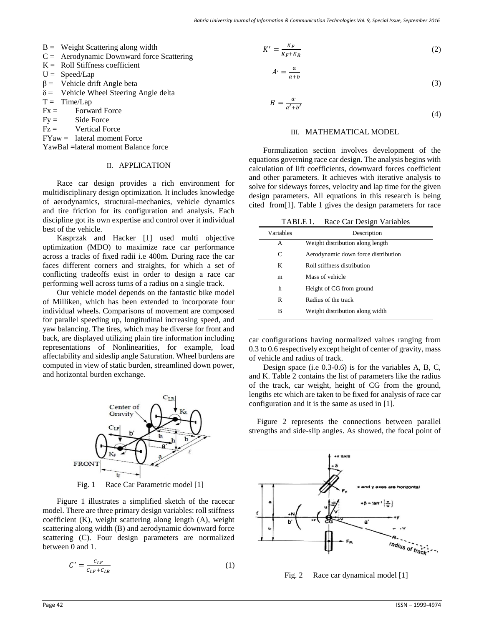$A'$ 

- $B =$  Weight Scattering along width
- $C =$  Aerodynamic Downward force Scattering
- $K =$  Roll Stiffness coefficient
- $U =$  Speed/Lap
- $\beta$  = Vehicle drift Angle beta
- $\delta$  = Vehicle Wheel Steering Angle delta
- $T = Time/Lap$
- $Fx =$  Forward Force
- $Fy =$  Side Force
- $Fz =$  Vertical Force
- $FYaw =$  lateral moment Force

YawBal =lateral moment Balance force

# II. APPLICATION

Race car design provides a rich environment for multidisciplinary design optimization. It includes knowledge of aerodynamics, structural-mechanics, vehicle dynamics and tire friction for its configuration and analysis. Each discipline got its own expertise and control over it individual best of the vehicle.

Kasprzak and Hacker [1] used multi objective optimization (MDO) to maximize race car performance across a tracks of fixed radii i.e 400m. During race the car faces different corners and straights, for which a set of conflicting tradeoffs exist in order to design a race car performing well across turns of a radius on a single track.

Our vehicle model depends on the fantastic bike model of Milliken, which has been extended to incorporate four individual wheels. Comparisons of movement are composed for parallel speeding up, longitudinal increasing speed, and yaw balancing. The tires, which may be diverse for front and back, are displayed utilizing plain tire information including representations of Nonlinearities, for example, load affectability and sideslip angle Saturation. Wheel burdens are computed in view of static burden, streamlined down power, and horizontal burden exchange.



Fig. 1 Race Car Parametric model [1]

Figure 1 illustrates a simplified sketch of the racecar model. There are three primary design variables: roll stiffness coefficient (K), weight scattering along length (A), weight scattering along width (B) and aerodynamic downward force scattering (C). Four design parameters are normalized between 0 and 1.

$$
C' = \frac{C_{LF}}{C_{LF} + C_{LR}}\tag{1}
$$

$$
K' = \frac{K_F}{K_F + K_R} \tag{2}
$$

$$
r' = \frac{a}{a+b}
$$

$$
B = \frac{a'}{a' + b'}
$$

$$
(4)
$$

(3)

### III. MATHEMATICAL MODEL

Formulization section involves development of the equations governing race car design. The analysis begins with calculation of lift coefficients, downward forces coefficient and other parameters. It achieves with iterative analysis to solve for sideways forces, velocity and lap time for the given design parameters. All equations in this research is being cited from[1]. Table 1 gives the design parameters for race

|                                  |           | TABLE 1. Race Car Design Variables  |  |
|----------------------------------|-----------|-------------------------------------|--|
|                                  | Variables | Description                         |  |
|                                  | А         | Weight distribution along length    |  |
|                                  | C         | Aerodynamic down force distribution |  |
| K<br>Roll stiffness distribution |           |                                     |  |
|                                  | m         | Mass of vehicle                     |  |
|                                  | h         | Height of CG from ground            |  |
|                                  | R         | Radius of the track                 |  |
|                                  | B         | Weight distribution along width     |  |
|                                  |           |                                     |  |

car configurations having normalized values ranging from 0.3 to 0.6 respectively except height of center of gravity, mass of vehicle and radius of track.

Design space (i.e 0.3-0.6) is for the variables A, B, C, and K. Table 2 contains the list of parameters like the radius of the track, car weight, height of CG from the ground, lengths etc which are taken to be fixed for analysis of race car configuration and it is the same as used in [1].

Figure 2 represents the connections between parallel strengths and side-slip angles. As showed, the focal point of



Fig. 2 Race car dynamical model [1]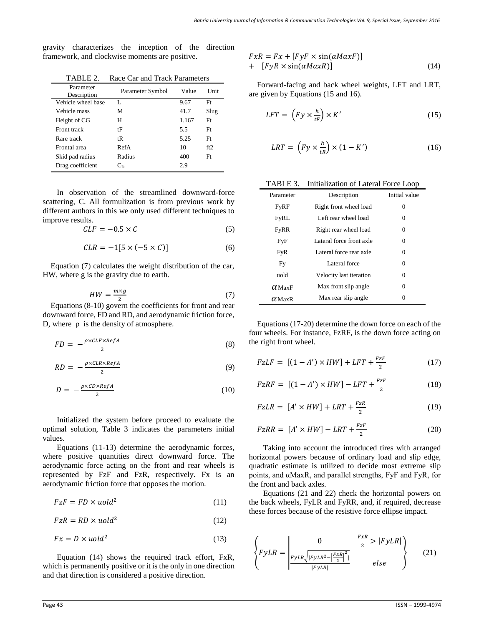gravity characterizes the inception of the direction framework, and clockwise moments are positive.

| Parameter<br>Description | Parameter Symbol | Value | Unit |
|--------------------------|------------------|-------|------|
| Vehicle wheel base       | L                | 9.67  | Ft   |
| Vehicle mass             | М                | 41.7  | Slug |
| Height of CG             | Н                | 1.167 | Ft   |
| Front track              | tF               | 5.5   | Ft   |
| Rare track               | tR               | 5.25  | Ft   |
| Frontal area             | RefA             | 10    | ft2  |
| Skid pad radius          | Radius           | 400   | Ft   |
| Drag coefficient         | $\mathrm{C_{D}}$ | 2.9   |      |

TABLE 2. Race Car and Track Parameters

In observation of the streamlined downward-force scattering, C. All formulization is from previous work by different authors in this we only used different techniques to improve results.

$$
CLF = -0.5 \times C \tag{5}
$$

$$
CLR = -1[5 \times (-5 \times C)] \tag{6}
$$

Equation (7) calculates the weight distribution of the car, HW, where g is the gravity due to earth.

$$
HW = \frac{m \times g}{2} \tag{7}
$$

Equations (8-10) govern the coefficients for front and rear downward force, FD and RD, and aerodynamic friction force, D, where  $ρ$  is the density of atmosphere.

$$
FD = -\frac{\rho \times CLF \times RefA}{2} \tag{8}
$$

$$
RD = -\frac{\rho \times CLR \times RefA}{2} \tag{9}
$$

$$
D = -\frac{\rho \times CD \times RefA}{2} \tag{10}
$$

Initialized the system before proceed to evaluate the optimal solution, Table 3 indicates the parameters initial values.

Equations (11-13) determine the aerodynamic forces, where positive quantities direct downward force. The aerodynamic force acting on the front and rear wheels is represented by FzF and FzR, respectively. Fx is an aerodynamic friction force that opposes the motion.

$$
FzF = FD \times uold^2 \tag{11}
$$

$$
FzR = RD \times uold^2 \tag{12}
$$

$$
Fx = D \times uold^2 \tag{13}
$$

Equation (14) shows the required track effort, FxR, which is permanently positive or it is the only in one direction and that direction is considered a positive direction.

$$
FxR = Fx + [FyF \times \sin(\alpha MaxF)] + [FyR \times \sin(\alpha MaxR)]
$$
 (14)

Forward-facing and back wheel weights, LFT and LRT, are given by Equations (15 and 16).

$$
LFT = \left(Fy \times \frac{h}{t^F}\right) \times K'
$$
\n(15)

$$
LRT = \left(Fy \times \frac{h}{tR}\right) \times \left(1 - K'\right) \tag{16}
$$

| TABLE 3. | Initialization of Lateral Force Loop |  |  |
|----------|--------------------------------------|--|--|
|----------|--------------------------------------|--|--|

| Parameter     | Description              | Initial value |  |
|---------------|--------------------------|---------------|--|
| FyRF          | Right front wheel load   | $\Omega$      |  |
| FyRL          | Left rear wheel load     | $\Omega$      |  |
| <b>FyRR</b>   | Right rear wheel load    | $\Omega$      |  |
| FyF           | Lateral force front axle | 0             |  |
| <b>FyR</b>    | Lateral force rear axle  | $\Omega$      |  |
| Fy            | Lateral force            | $\Omega$      |  |
| nold          | Velocity last iteration  | $\Omega$      |  |
| $\alpha$ MaxF | Max front slip angle     | 0             |  |
| $\alpha$ MaxR | Max rear slip angle      |               |  |

Equations (17-20) determine the down force on each of the four wheels. For instance, FzRF, is the down force acting on the right front wheel.

$$
FzLF = [(1 - A') \times HW] + LFT + \frac{FzF}{2}
$$
 (17)

$$
FzRF = [(1 - A') \times HW] - LFT + \frac{FzF}{2}
$$
 (18)

$$
FzLR = [A' \times HW] + LRT + \frac{FzR}{2}
$$
 (19)

$$
FzRR = [A' \times HW] - LRT + \frac{FzF}{2}
$$
 (20)

Taking into account the introduced tires with arranged horizontal powers because of ordinary load and slip edge, quadratic estimate is utilized to decide most extreme slip points, and αMaxR, and parallel strengths, FyF and FyR, for the front and back axles.

Equations (21 and 22) check the horizontal powers on the back wheels, FyLR and FyRR, and, if required, decrease these forces because of the resistive force ellipse impact.

$$
\left\{ FyLR = \frac{0}{\frac{FyLR\sqrt{|FyLR^2 - \left[\frac{FxR}{2}\right]^2|}}{|FyLR|}} \right\}
$$
 (21)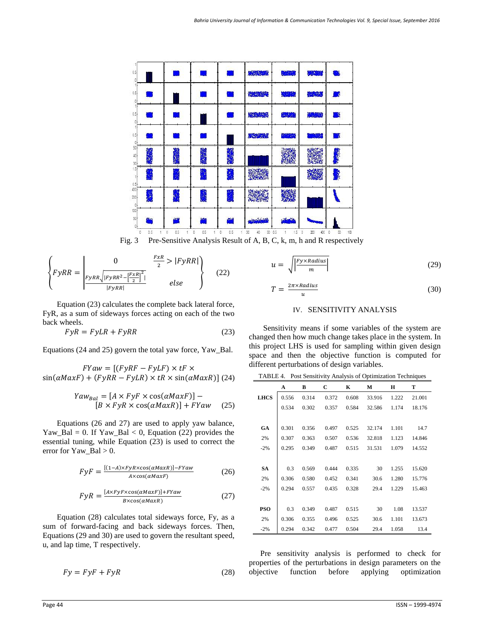

Fig. 3 Pre-Sensitive Analysis Result of A, B, C, k, m, h and R respectively

$$
\left\{ FyRR = \begin{vmatrix} 0 & \frac{FxR}{2} > |FyRR| \\ \frac{FyRR}{|FyRR|} - \frac{FxR}{2} \end{vmatrix} \right\}
$$
 (22)

Equation (23) calculates the complete back lateral force, FyR, as a sum of sideways forces acting on each of the two back wheels.

$$
FyR = FyLR + FyRR
$$
\n(23)

Equations (24 and 25) govern the total yaw force, Yaw\_Bal.

 $FYaw = [(FyRF - FyLF) \times tF \times$  $\sin(\alpha MaxF) + (FyRR - FyLR) \times tR \times \sin(\alpha MaxR)$  (24)

$$
Yaw_{Bal} = [A \times FyF \times \cos(\alpha MaxF)] -
$$
  
[B \times FyR \times \cos(\alpha MaxR)] + FYaw (25)

Equations (26 and 27) are used to apply yaw balance, Yaw\_Bal = 0. If Yaw\_Bal < 0, Equation (22) provides the essential tuning, while Equation (23) is used to correct the error for Yaw\_Bal  $> 0$ .

$$
FyF = \frac{[(1-A) \times FyR \times \cos(\alpha MaxR)] - FYaw}{A \times \cos(\alpha MaxF)}
$$
(26)

$$
F\gamma R = \frac{[A \times F\gamma F \times \cos(\alpha MaxF)] + FYaw}{B \times \cos(\alpha MaxR)}
$$
 (27)

Equation (28) calculates total sideways force, Fy, as a sum of forward-facing and back sideways forces. Then, Equations (29 and 30) are used to govern the resultant speed, u, and lap time, T respectively.

$$
Fy = FyF + FyR
$$
 (28)

$$
\frac{1}{40}
$$

$$
u = \sqrt{\frac{|Fy \times Radius|}{m}}
$$
 (29)

$$
T = \frac{2\pi \times Radius}{u} \tag{30}
$$

# IV. SENSITIVITY ANALYSIS

Sensitivity means if some variables of the system are changed then how much change takes place in the system. In this project LHS is used for sampling within given design space and then the objective function is computed for different perturbations of design variables.

TABLE 4. Post Sensitivity Analysis of Optimization Techniques

|             | A     | В     | С     | K     | М      | Н     | т      |
|-------------|-------|-------|-------|-------|--------|-------|--------|
| <b>LHCS</b> | 0.556 | 0.314 | 0.372 | 0.608 | 33.916 | 1.222 | 21.001 |
|             | 0.534 | 0.302 | 0.357 | 0.584 | 32.586 | 1.174 | 18.176 |
|             |       |       |       |       |        |       |        |
| GA          | 0.301 | 0.356 | 0.497 | 0.525 | 32.174 | 1.101 | 14.7   |
| 2%          | 0.307 | 0.363 | 0.507 | 0.536 | 32.818 | 1.123 | 14.846 |
| $-2%$       | 0.295 | 0.349 | 0.487 | 0.515 | 31.531 | 1.079 | 14.552 |
|             |       |       |       |       |        |       |        |
| <b>SA</b>   | 0.3   | 0.569 | 0.444 | 0.335 | 30     | 1.255 | 15.620 |
| 2%          | 0.306 | 0.580 | 0.452 | 0.341 | 30.6   | 1.280 | 15.776 |
| $-2%$       | 0.294 | 0.557 | 0.435 | 0.328 | 29.4   | 1.229 | 15.463 |
|             |       |       |       |       |        |       |        |
| <b>PSO</b>  | 0.3   | 0.349 | 0.487 | 0.515 | 30     | 1.08  | 13.537 |
| 2%          | 0.306 | 0.355 | 0.496 | 0.525 | 30.6   | 1.101 | 13.673 |
| $-2%$       | 0.294 | 0.342 | 0.477 | 0.504 | 29.4   | 1.058 | 13.4   |

Pre sensitivity analysis is performed to check for properties of the perturbations in design parameters on the objective function before applying optimization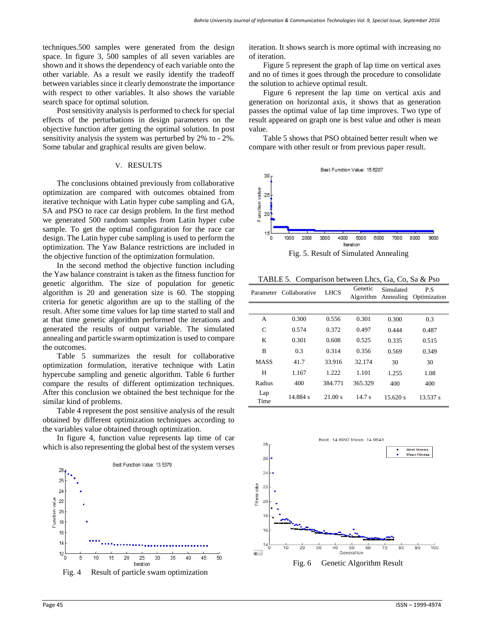techniques.500 samples were generated from the design space. In figure 3, 500 samples of all seven variables are shown and it shows the dependency of each variable onto the other variable. As a result we easily identify the tradeoff between variables since it clearly demonstrate the importance with respect to other variables. It also shows the variable search space for optimal solution.

Post sensitivity analysis is performed to check for special effects of the perturbations in design parameters on the objective function after getting the optimal solution. In post sensitivity analysis the system was perturbed by 2% to - 2%. Some tabular and graphical results are given below.

# V. RESULTS

The conclusions obtained previously from collaborative optimization are compared with outcomes obtained from iterative technique with Latin hyper cube sampling and GA, SA and PSO to race car design problem. In the first method we generated 500 random samples from Latin hyper cube sample. To get the optimal configuration for the race car design. The Latin hyper cube sampling is used to perform the optimization. The Yaw Balance restrictions are included in the objective function of the optimization formulation.

In the second method the objective function including the Yaw balance constraint is taken as the fitness function for genetic algorithm. The size of population for genetic algorithm is 20 and generation size is 60. The stopping criteria for genetic algorithm are up to the stalling of the result. After some time values for lap time started to stall and at that time genetic algorithm performed the iterations and generated the results of output variable. The simulated annealing and particle swarm optimization is used to compare the outcomes.

Table 5 summarizes the result for collaborative optimization formulation, iterative technique with Latin hypercube sampling and genetic algorithm. Table 6 further compare the results of different optimization techniques. After this conclusion we obtained the best technique for the similar kind of problems.

Table 4 represent the post sensitive analysis of the result obtained by different optimization techniques according to the variables value obtained through optimization.

In figure 4, function value represents lap time of car which is also representing the global best of the system verses



iteration. It shows search is more optimal with increasing no of iteration.

Figure 5 represent the graph of lap time on vertical axes and no of times it goes through the procedure to consolidate the solution to achieve optimal result.

Figure 6 represent the lap time on vertical axis and generation on horizontal axis, it shows that as generation passes the optimal value of lap time improves. Two type of result appeared on graph one is best value and other is mean value.

Table 5 shows that PSO obtained better result when we compare with other result or from previous paper result.



Fig. 5. Result of Simulated Annealing

TABLE 5. Comparison between Lhcs, Ga, Co, Sa & Pso

|             | Parameter Collaborative | <b>LHCS</b> | Genetic<br>Algorithm | Simulated<br>Annealing | P.S<br>Optimization |
|-------------|-------------------------|-------------|----------------------|------------------------|---------------------|
|             |                         |             |                      |                        |                     |
| A           | 0.300                   | 0.556       | 0.301                | 0.300                  | 0.3                 |
| C           | 0.574                   | 0.372       | 0.497                | 0.444                  | 0.487               |
| K           | 0.301                   | 0.608       | 0.525                | 0.335                  | 0.515               |
| B           | 0.3                     | 0.314       | 0.356                | 0.569                  | 0.349               |
| MASS        | 41.7                    | 33.916      | 32.174               | 30                     | 30                  |
| H           | 1.167                   | 1.222       | 1.101                | 1.255                  | 1.08                |
| Radius      | 400                     | 384.771     | 365.329              | 400                    | 400                 |
| Lap<br>Time | 14.884 s                | 21.00 s     | 14.7 s               | 15.620 s               | 13.537 s            |



Fig. 6 Genetic Algorithm Result